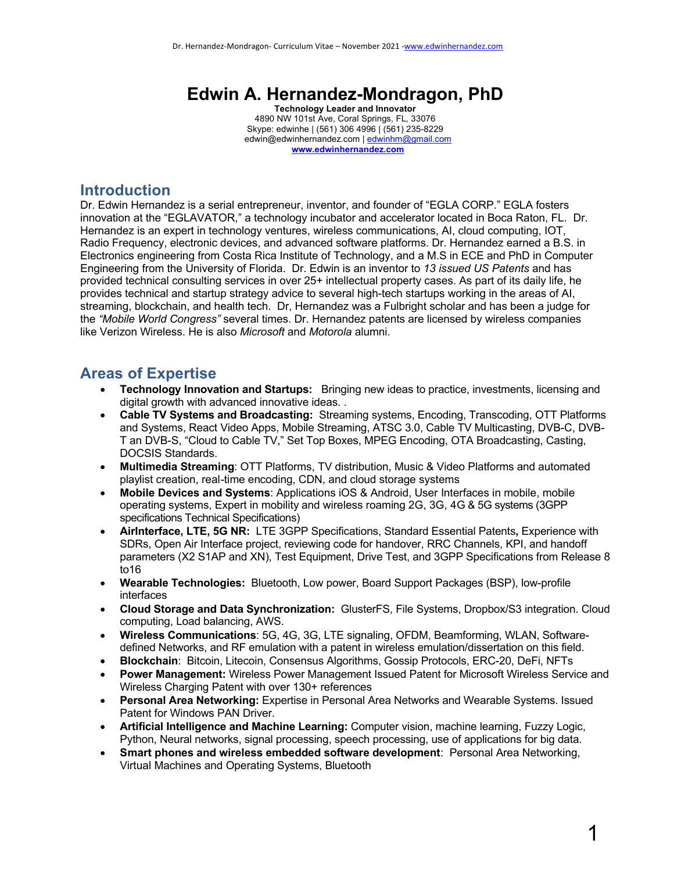# **Edwin A. Hernandez-Mondragon, PhD**

**Technology Leader and Innovator** 4890 NW 101st Ave, Coral Springs, FL, 33076 Skype: edwinhe | (561) 306 4996 | (561) 235-8229 edwin@edwinhernandez.com | edwinhm@gmail.com **www.edwinhernandez.com**

## **Introduction**

Dr. Edwin Hernandez is a serial entrepreneur, inventor, and founder of "EGLA CORP." EGLA fosters innovation at the "EGLAVATOR," a technology incubator and accelerator located in Boca Raton, FL. Dr. Hernandez is an expert in technology ventures, wireless communications, AI, cloud computing, IOT, Radio Frequency, electronic devices, and advanced software platforms. Dr. Hernandez earned a B.S. in Electronics engineering from Costa Rica Institute of Technology, and a M.S in ECE and PhD in Computer Engineering from the University of Florida. Dr. Edwin is an inventor to *13 issued US Patents* and has provided technical consulting services in over 25+ intellectual property cases. As part of its daily life, he provides technical and startup strategy advice to several high-tech startups working in the areas of AI, streaming, blockchain, and health tech. Dr, Hernandez was a Fulbright scholar and has been a judge for the *"Mobile World Congress"* several times. Dr. Hernandez patents are licensed by wireless companies like Verizon Wireless. He is also *Microsoft* and *Motorola* alumni.

## **Areas of Expertise**

- **Technology Innovation and Startups:** Bringing new ideas to practice, investments, licensing and digital growth with advanced innovative ideas. .
- **Cable TV Systems and Broadcasting:** Streaming systems, Encoding, Transcoding, OTT Platforms and Systems, React Video Apps, Mobile Streaming, ATSC 3.0, Cable TV Multicasting, DVB-C, DVB-T an DVB-S, "Cloud to Cable TV," Set Top Boxes, MPEG Encoding, OTA Broadcasting, Casting, DOCSIS Standards.
- **Multimedia Streaming**: OTT Platforms, TV distribution, Music & Video Platforms and automated playlist creation, real-time encoding, CDN, and cloud storage systems
- **Mobile Devices and Systems**: Applications iOS & Android, User Interfaces in mobile, mobile operating systems, Expert in mobility and wireless roaming 2G, 3G, 4G & 5G systems (3GPP specifications Technical Specifications)
- **AirInterface, LTE, 5G NR:** LTE 3GPP Specifications, Standard Essential Patents**,** Experience with SDRs, Open Air Interface project, reviewing code for handover, RRC Channels, KPI, and handoff parameters (X2 S1AP and XN), Test Equipment, Drive Test, and 3GPP Specifications from Release 8 to16
- **Wearable Technologies:** Bluetooth, Low power, Board Support Packages (BSP), low-profile interfaces
- **Cloud Storage and Data Synchronization:** GlusterFS, File Systems, Dropbox/S3 integration. Cloud computing, Load balancing, AWS.
- **Wireless Communications**: 5G, 4G, 3G, LTE signaling, OFDM, Beamforming, WLAN, Softwaredefined Networks, and RF emulation with a patent in wireless emulation/dissertation on this field.
- **Blockchain**: Bitcoin, Litecoin, Consensus Algorithms, Gossip Protocols, ERC-20, DeFi, NFTs
- **Power Management:** Wireless Power Management Issued Patent for Microsoft Wireless Service and Wireless Charging Patent with over 130+ references
- **Personal Area Networking:** Expertise in Personal Area Networks and Wearable Systems. Issued Patent for Windows PAN Driver.
- **Artificial Intelligence and Machine Learning:** Computer vision, machine learning, Fuzzy Logic, Python, Neural networks, signal processing, speech processing, use of applications for big data.
- **Smart phones and wireless embedded software development**: Personal Area Networking, Virtual Machines and Operating Systems, Bluetooth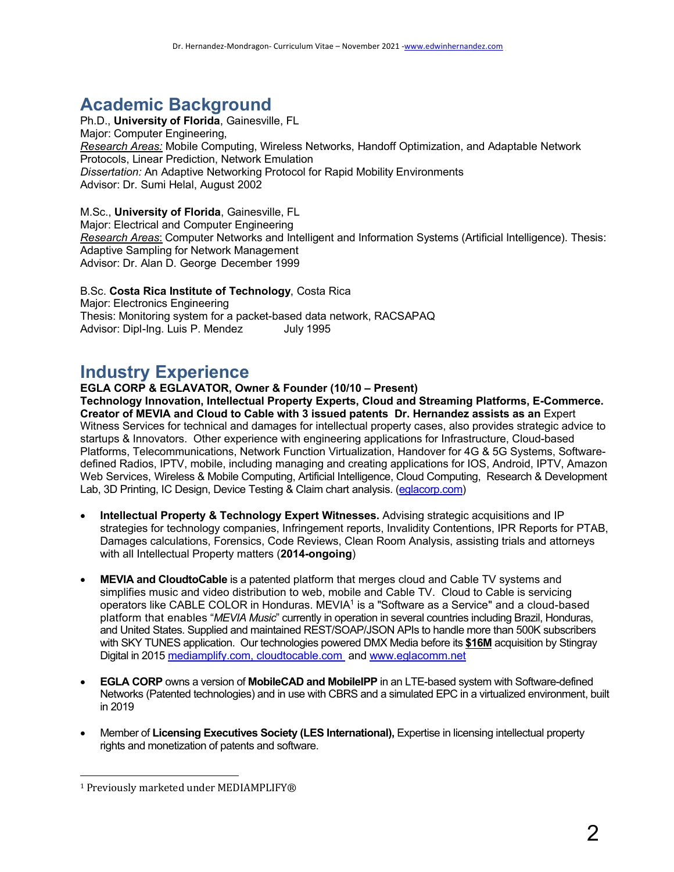# **Academic Background**

Ph.D., **University of Florida**, Gainesville, FL Major: Computer Engineering, *Research Areas:* Mobile Computing, Wireless Networks, Handoff Optimization, and Adaptable Network Protocols, Linear Prediction, Network Emulation *Dissertation:* An Adaptive Networking Protocol for Rapid Mobility Environments Advisor: Dr. Sumi Helal, August 2002

M.Sc., **University of Florida**, Gainesville, FL Major: Electrical and Computer Engineering *Research Areas*: Computer Networks and Intelligent and Information Systems (Artificial Intelligence). Thesis: Adaptive Sampling for Network Management Advisor: Dr. Alan D. George December 1999

#### B.Sc. **Costa Rica Institute of Technology**, Costa Rica Major: Electronics Engineering Thesis: Monitoring system for a packet-based data network, RACSAPAQ Advisor: Dipl-Ing. Luis P. Mendez July 1995

# **Industry Experience**

**EGLA CORP & EGLAVATOR, Owner & Founder (10/10 – Present)**

**Technology Innovation, Intellectual Property Experts, Cloud and Streaming Platforms, E-Commerce. Creator of MEVIA and Cloud to Cable with 3 issued patents Dr. Hernandez assists as an** Expert Witness Services for technical and damages for intellectual property cases, also provides strategic advice to startups & Innovators. Other experience with engineering applications for Infrastructure, Cloud-based Platforms, Telecommunications, Network Function Virtualization, Handover for 4G & 5G Systems, Softwaredefined Radios, IPTV, mobile, including managing and creating applications for IOS, Android, IPTV, Amazon Web Services, Wireless & Mobile Computing, Artificial Intelligence, Cloud Computing, Research & Development Lab, 3D Printing, IC Design, Device Testing & Claim chart analysis. (eglacorp.com)

- **Intellectual Property & Technology Expert Witnesses.** Advising strategic acquisitions and IP strategies for technology companies, Infringement reports, Invalidity Contentions, IPR Reports for PTAB, Damages calculations, Forensics, Code Reviews, Clean Room Analysis, assisting trials and attorneys with all Intellectual Property matters (**2014-ongoing**)
- **MEVIA and CloudtoCable** is a patented platform that merges cloud and Cable TV systems and simplifies music and video distribution to web, mobile and Cable TV. Cloud to Cable is servicing operators like CABLE COLOR in Honduras. MEVIA<sup>1</sup> is a "Software as a Service" and a cloud-based platform that enables "*MEVIA Music*" currently in operation in several countries including Brazil, Honduras, and United States. Supplied and maintained REST/SOAP/JSON APIs to handle more than 500K subscribers with SKY TUNES application. Our technologies powered DMX Media before its **\$16M** acquisition by Stingray Digital in 2015 mediamplify.com, cloudtocable.com and www.eglacomm.net
- **EGLA CORP** owns a version of **MobileCAD and MobileIPP** in an LTE-based system with Software-defined Networks (Patented technologies) and in use with CBRS and a simulated EPC in a virtualized environment, built in 2019
- Member of **Licensing Executives Society (LES International),** Expertise in licensing intellectual property rights and monetization of patents and software.

 $1$  Previously marketed under MEDIAMPLIFY®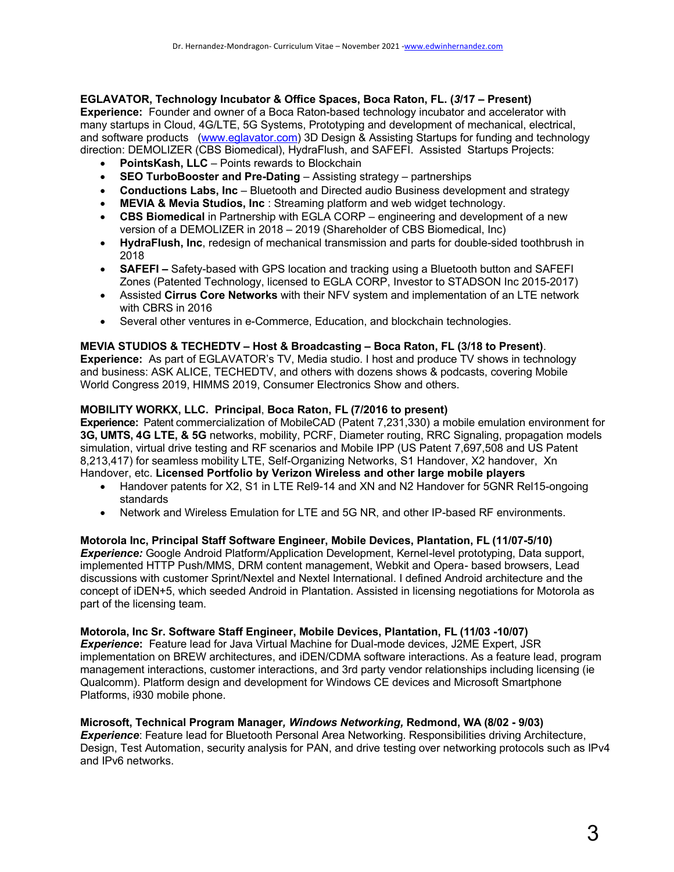### **EGLAVATOR, Technology Incubator & Office Spaces, Boca Raton, FL. (***3***/17 – Present)**

**Experience:** Founder and owner of a Boca Raton-based technology incubator and accelerator with many startups in Cloud, 4G/LTE, 5G Systems, Prototyping and development of mechanical, electrical, and software products (www.eglavator.com) 3D Design & Assisting Startups for funding and technology direction: DEMOLIZER (CBS Biomedical), HydraFlush, and SAFEFI. Assisted Startups Projects:

- **PointsKash, LLC** Points rewards to Blockchain
- **SEO TurboBooster and Pre-Dating** Assisting strategy partnerships
- **Conductions Labs, Inc** Bluetooth and Directed audio Business development and strategy
- **MEVIA & Mevia Studios, Inc** : Streaming platform and web widget technology.
- **CBS Biomedical** in Partnership with EGLA CORP engineering and development of a new version of a DEMOLIZER in 2018 – 2019 (Shareholder of CBS Biomedical, Inc)
- **HydraFlush, Inc**, redesign of mechanical transmission and parts for double-sided toothbrush in 2018
- **SAFEFI –** Safety-based with GPS location and tracking using a Bluetooth button and SAFEFI Zones (Patented Technology, licensed to EGLA CORP, Investor to STADSON Inc 2015-2017)
- Assisted **Cirrus Core Networks** with their NFV system and implementation of an LTE network with CBRS in 2016
- Several other ventures in e-Commerce, Education, and blockchain technologies.

#### **MEVIA STUDIOS & TECHEDTV – Host & Broadcasting – Boca Raton, FL (3/18 to Present)**.

**Experience:** As part of EGLAVATOR's TV, Media studio. I host and produce TV shows in technology and business: ASK ALICE, TECHEDTV, and others with dozens shows & podcasts, covering Mobile World Congress 2019, HIMMS 2019, Consumer Electronics Show and others.

#### **MOBILITY WORKX, LLC. Principal**, **Boca Raton, FL (7/2016 to present)**

**Experience:** Patent commercialization of MobileCAD (Patent 7,231,330) a mobile emulation environment for **3G, UMTS, 4G LTE, & 5G** networks, mobility, PCRF, Diameter routing, RRC Signaling, propagation models simulation, virtual drive testing and RF scenarios and Mobile IPP (US Patent 7,697,508 and US Patent 8,213,417) for seamless mobility LTE, Self-Organizing Networks, S1 Handover, X2 handover, Xn Handover, etc. **Licensed Portfolio by Verizon Wireless and other large mobile players**

- Handover patents for X2, S1 in LTE Rel9-14 and XN and N2 Handover for 5GNR Rel15-ongoing standards
- Network and Wireless Emulation for LTE and 5G NR, and other IP-based RF environments.

#### **Motorola Inc, Principal Staff Software Engineer, Mobile Devices, Plantation, FL (11/07-5/10)**

*Experience:* Google Android Platform/Application Development, Kernel-level prototyping, Data support, implemented HTTP Push/MMS, DRM content management, Webkit and Opera- based browsers, Lead discussions with customer Sprint/Nextel and Nextel International. I defined Android architecture and the concept of iDEN+5, which seeded Android in Plantation. Assisted in licensing negotiations for Motorola as part of the licensing team.

#### **Motorola, Inc Sr. Software Staff Engineer, Mobile Devices, Plantation, FL (11/03 -10/07)** *Experience***:** Feature lead for Java Virtual Machine for Dual-mode devices, J2ME Expert, JSR

implementation on BREW architectures, and iDEN/CDMA software interactions. As a feature lead, program management interactions, customer interactions, and 3rd party vendor relationships including licensing (ie Qualcomm). Platform design and development for Windows CE devices and Microsoft Smartphone Platforms, i930 mobile phone.

#### **Microsoft, Technical Program Manager***, Windows Networking,* **Redmond, WA (8/02 - 9/03)**

*Experience*: Feature lead for Bluetooth Personal Area Networking. Responsibilities driving Architecture, Design, Test Automation, security analysis for PAN, and drive testing over networking protocols such as IPv4 and IPv6 networks.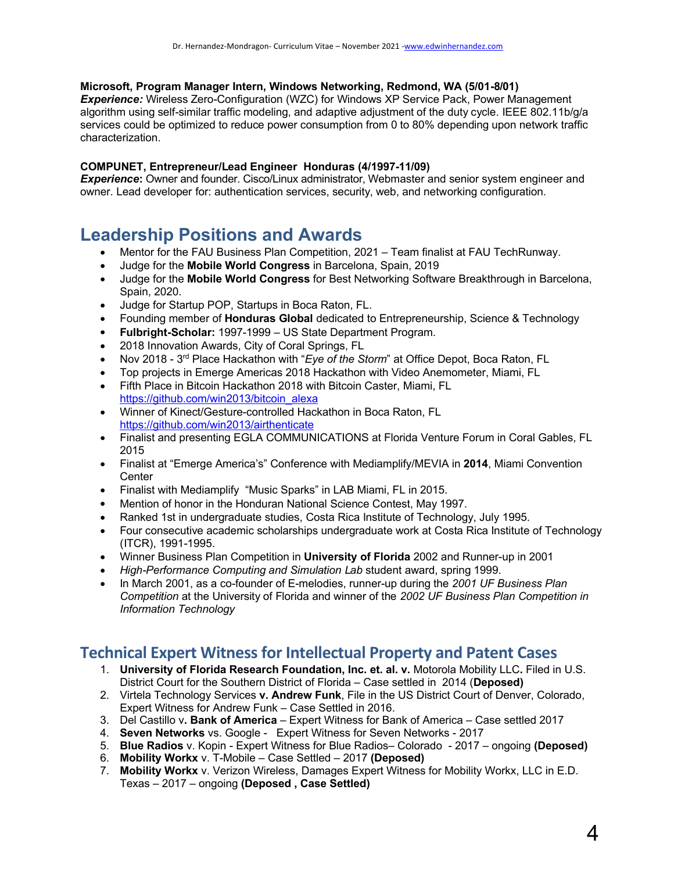#### **Microsoft, Program Manager Intern, Windows Networking, Redmond, WA (5/01-8/01)**

*Experience:* Wireless Zero-Configuration (WZC) for Windows XP Service Pack, Power Management algorithm using self-similar traffic modeling, and adaptive adjustment of the duty cycle. IEEE 802.11b/g/a services could be optimized to reduce power consumption from 0 to 80% depending upon network traffic characterization.

#### **COMPUNET, Entrepreneur/Lead Engineer Honduras (4/1997-11/09)**

*Experience***:** Owner and founder. Cisco/Linux administrator, Webmaster and senior system engineer and owner. Lead developer for: authentication services, security, web, and networking configuration.

## **Leadership Positions and Awards**

- Mentor for the FAU Business Plan Competition, 2021 Team finalist at FAU TechRunway.
- Judge for the **Mobile World Congress** in Barcelona, Spain, 2019
- Judge for the **Mobile World Congress** for Best Networking Software Breakthrough in Barcelona, Spain, 2020.
- Judge for Startup POP, Startups in Boca Raton, FL.
- Founding member of **Honduras Global** dedicated to Entrepreneurship, Science & Technology
- **Fulbright-Scholar:** 1997-1999 US State Department Program.
- 2018 Innovation Awards, City of Coral Springs, FL
- Nov 2018 3rd Place Hackathon with "*Eye of the Storm*" at Office Depot, Boca Raton, FL
- Top projects in Emerge Americas 2018 Hackathon with Video Anemometer, Miami, FL
- Fifth Place in Bitcoin Hackathon 2018 with Bitcoin Caster, Miami, FL https://github.com/win2013/bitcoin\_alexa
- Winner of Kinect/Gesture-controlled Hackathon in Boca Raton, FL https://github.com/win2013/airthenticate
- Finalist and presenting EGLA COMMUNICATIONS at Florida Venture Forum in Coral Gables, FL 2015
- Finalist at "Emerge America's" Conference with Mediamplify/MEVIA in **2014**, Miami Convention **Center**
- Finalist with Mediamplify "Music Sparks" in LAB Miami, FL in 2015.
- Mention of honor in the Honduran National Science Contest, May 1997.
- Ranked 1st in undergraduate studies, Costa Rica Institute of Technology, July 1995.
- Four consecutive academic scholarships undergraduate work at Costa Rica Institute of Technology (ITCR), 1991-1995.
- Winner Business Plan Competition in **University of Florida** 2002 and Runner-up in 2001
- *High-Performance Computing and Simulation Lab* student award, spring 1999.
- In March 2001, as a co-founder of E-melodies, runner-up during the *2001 UF Business Plan Competition* at the University of Florida and winner of the *2002 UF Business Plan Competition in Information Technology*

## **Technical Expert Witness for Intellectual Property and Patent Cases**

- 1. **University of Florida Research Foundation, Inc. et. al. v.** Motorola Mobility LLC**.** Filed in U.S. District Court for the Southern District of Florida – Case settled in 2014 (**Deposed)**
- 2. Virtela Technology Services **v. Andrew Funk**, File in the US District Court of Denver, Colorado, Expert Witness for Andrew Funk – Case Settled in 2016.
- 3. Del Castillo v**. Bank of America** Expert Witness for Bank of America Case settled 2017
- 4. **Seven Networks** vs. Google Expert Witness for Seven Networks 2017
- 5. **Blue Radios** v. Kopin Expert Witness for Blue Radios– Colorado 2017 ongoing **(Deposed)**
- 6. **Mobility Workx** v. T-Mobile Case Settled 2017 **(Deposed)**
- 7. **Mobility Workx** v. Verizon Wireless, Damages Expert Witness for Mobility Workx, LLC in E.D. Texas – 2017 – ongoing **(Deposed , Case Settled)**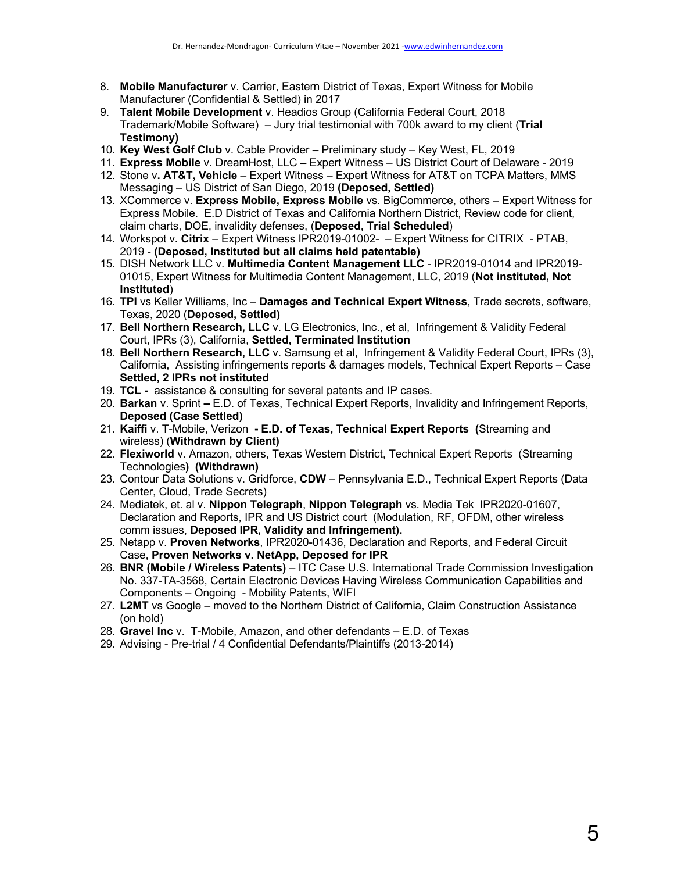- 8. **Mobile Manufacturer** v. Carrier, Eastern District of Texas, Expert Witness for Mobile Manufacturer (Confidential & Settled) in 2017
- 9. **Talent Mobile Development** v. Headios Group (California Federal Court, 2018 Trademark/Mobile Software) – Jury trial testimonial with 700k award to my client (**Trial Testimony)**
- 10. **Key West Golf Club** v. Cable Provider **–** Preliminary study Key West, FL, 2019
- 11. **Express Mobile** v. DreamHost, LLC **–** Expert Witness US District Court of Delaware 2019
- 12. Stone v**. AT&T, Vehicle** Expert Witness Expert Witness for AT&T on TCPA Matters, MMS Messaging – US District of San Diego, 2019 **(Deposed, Settled)**
- 13. XCommerce v. **Express Mobile, Express Mobile** vs. BigCommerce, others Expert Witness for Express Mobile. E.D District of Texas and California Northern District, Review code for client, claim charts, DOE, invalidity defenses, (**Deposed, Trial Scheduled**)
- 14. Workspot v**. Citrix** Expert Witness IPR2019-01002- Expert Witness for CITRIX PTAB, 2019 - **(Deposed, Instituted but all claims held patentable)**
- 15. DISH Network LLC v. **Multimedia Content Management LLC** IPR2019-01014 and IPR2019- 01015, Expert Witness for Multimedia Content Management, LLC, 2019 (**Not instituted, Not Instituted**)
- 16. **TPI** vs Keller Williams, Inc **Damages and Technical Expert Witness**, Trade secrets, software, Texas, 2020 (**Deposed, Settled)**
- 17. **Bell Northern Research, LLC** v. LG Electronics, Inc., et al, Infringement & Validity Federal Court, IPRs (3), California, **Settled, Terminated Institution**
- 18. **Bell Northern Research, LLC** v. Samsung et al, Infringement & Validity Federal Court, IPRs (3), California, Assisting infringements reports & damages models, Technical Expert Reports – Case **Settled, 2 IPRs not instituted**
- 19. **TCL -** assistance & consulting for several patents and IP cases.
- 20. **Barkan** v. Sprint **–** E.D. of Texas, Technical Expert Reports, Invalidity and Infringement Reports, **Deposed (Case Settled)**
- 21. **Kaiffi** v. T-Mobile, Verizon **- E.D. of Texas, Technical Expert Reports (**Streaming and wireless) (**Withdrawn by Client)**
- 22. **Flexiworld** v. Amazon, others, Texas Western District, Technical Expert Reports (Streaming Technologies**) (Withdrawn)**
- 23. Contour Data Solutions v. Gridforce, **CDW** Pennsylvania E.D., Technical Expert Reports (Data Center, Cloud, Trade Secrets)
- 24. Mediatek, et. al v. **Nippon Telegraph**, **Nippon Telegraph** vs. Media Tek IPR2020-01607, Declaration and Reports, IPR and US District court (Modulation, RF, OFDM, other wireless comm issues, **Deposed IPR, Validity and Infringement).**
- 25. Netapp v. **Proven Networks**, IPR2020-01436, Declaration and Reports, and Federal Circuit Case, **Proven Networks v. NetApp, Deposed for IPR**
- 26. **BNR (Mobile / Wireless Patents)** ITC Case U.S. International Trade Commission Investigation No. 337-TA-3568, Certain Electronic Devices Having Wireless Communication Capabilities and Components – Ongoing - Mobility Patents, WIFI
- 27. **L2MT** vs Google moved to the Northern District of California, Claim Construction Assistance (on hold)
- 28. **Gravel Inc** v. T-Mobile, Amazon, and other defendants E.D. of Texas
- 29. Advising Pre-trial / 4 Confidential Defendants/Plaintiffs (2013-2014)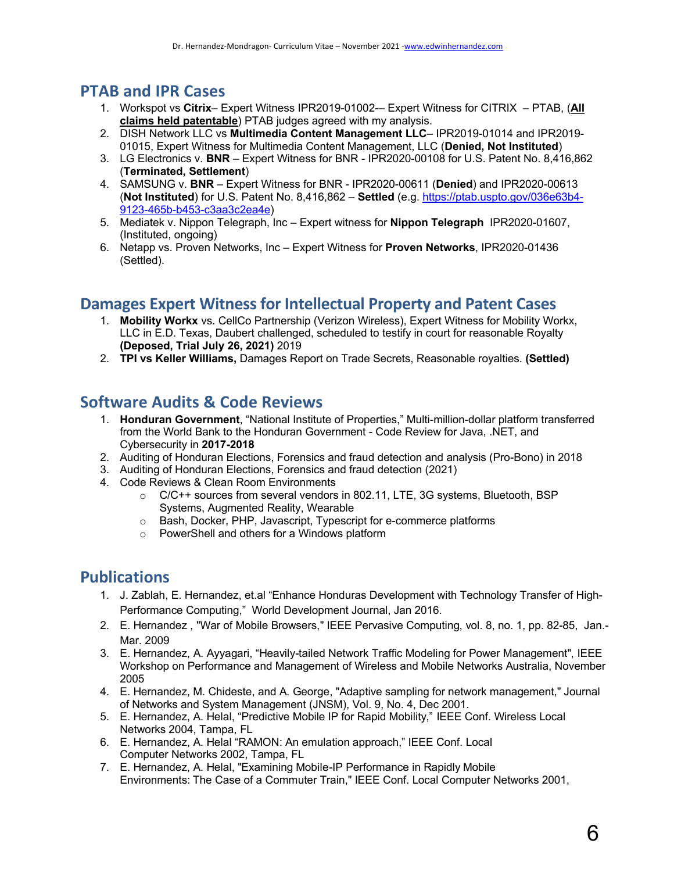## **PTAB and IPR Cases**

- 1. Workspot vs **Citrix** Expert Witness IPR2019-01002-– Expert Witness for CITRIX PTAB, (**All claims held patentable**) PTAB judges agreed with my analysis.
- 2. DISH Network LLC vs **Multimedia Content Management LLC** IPR2019-01014 and IPR2019- 01015, Expert Witness for Multimedia Content Management, LLC (**Denied, Not Instituted**)
- 3. LG Electronics v. **BNR** Expert Witness for BNR IPR2020-00108 for U.S. Patent No. 8,416,862 (**Terminated, Settlement**)
- 4. SAMSUNG v. **BNR** Expert Witness for BNR IPR2020-00611 (**Denied**) and IPR2020-00613 (**Not Instituted**) for U.S. Patent No. 8,416,862 – **Settled** (e.g. https://ptab.uspto.gov/036e63b4- 9123-465b-b453-c3aa3c2ea4e)
- 5. Mediatek v. Nippon Telegraph, Inc Expert witness for **Nippon Telegraph** IPR2020-01607, (Instituted, ongoing)
- 6. Netapp vs. Proven Networks, Inc Expert Witness for **Proven Networks**, IPR2020-01436 (Settled).

## **Damages Expert Witness for Intellectual Property and Patent Cases**

- 1. **Mobility Workx** vs. CellCo Partnership (Verizon Wireless), Expert Witness for Mobility Workx, LLC in E.D. Texas, Daubert challenged, scheduled to testify in court for reasonable Royalty **(Deposed, Trial July 26, 2021)** 2019
- 2. **TPI vs Keller Williams,** Damages Report on Trade Secrets, Reasonable royalties. **(Settled)**

## **Software Audits & Code Reviews**

- 1. **Honduran Government**, "National Institute of Properties," Multi-million-dollar platform transferred from the World Bank to the Honduran Government - Code Review for Java, .NET, and Cybersecurity in **2017-2018**
- 2. Auditing of Honduran Elections, Forensics and fraud detection and analysis (Pro-Bono) in 2018
- 3. Auditing of Honduran Elections, Forensics and fraud detection (2021)
- 4. Code Reviews & Clean Room Environments
	- $\circ$  C/C++ sources from several vendors in 802.11, LTE, 3G systems, Bluetooth, BSP Systems, Augmented Reality, Wearable
	- o Bash, Docker, PHP, Javascript, Typescript for e-commerce platforms
	- o PowerShell and others for a Windows platform

## **Publications**

- 1. J. Zablah, E. Hernandez, et.al "Enhance Honduras Development with Technology Transfer of High-Performance Computing," World Development Journal, Jan 2016.
- 2. E. Hernandez , "War of Mobile Browsers," IEEE Pervasive Computing, vol. 8, no. 1, pp. 82-85, Jan.- Mar. 2009
- 3. E. Hernandez, A. Ayyagari, "Heavily-tailed Network Traffic Modeling for Power Management", IEEE Workshop on Performance and Management of Wireless and Mobile Networks Australia, November 2005
- 4. E. Hernandez, M. Chideste, and A. George, "Adaptive sampling for network management," Journal of Networks and System Management (JNSM), Vol. 9, No. 4, Dec 2001.
- 5. E. Hernandez, A. Helal, "Predictive Mobile IP for Rapid Mobility," IEEE Conf. Wireless Local Networks 2004, Tampa, FL
- 6. E. Hernandez, A. Helal "RAMON: An emulation approach," IEEE Conf. Local Computer Networks 2002, Tampa, FL
- 7. E. Hernandez, A. Helal, "Examining Mobile-IP Performance in Rapidly Mobile Environments: The Case of a Commuter Train," IEEE Conf. Local Computer Networks 2001,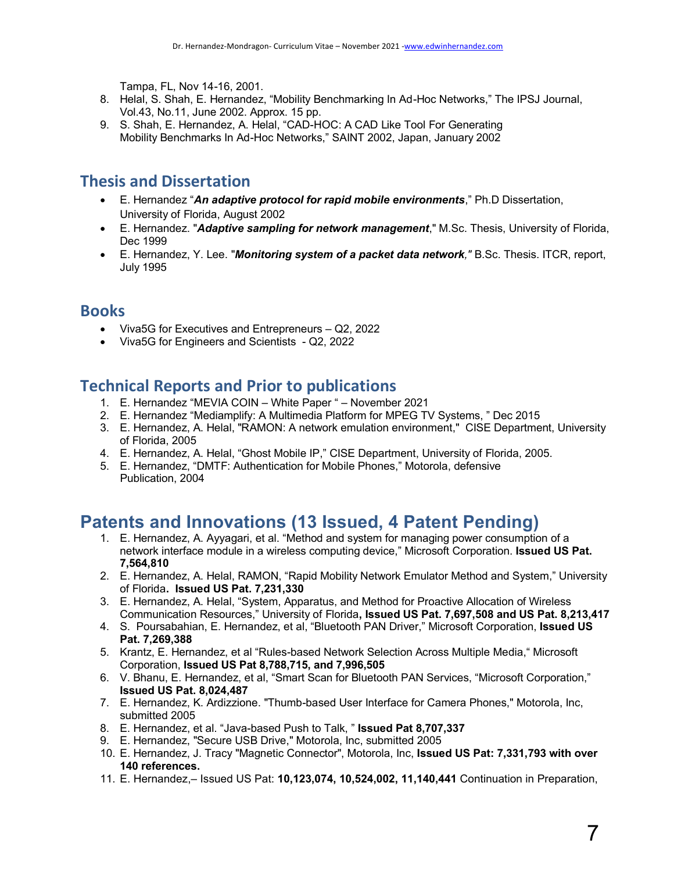Tampa, FL, Nov 14-16, 2001.

- 8. Helal, S. Shah, E. Hernandez, "Mobility Benchmarking In Ad-Hoc Networks," The IPSJ Journal, Vol.43, No.11, June 2002. Approx. 15 pp.
- 9. S. Shah, E. Hernandez, A. Helal, "CAD-HOC: A CAD Like Tool For Generating Mobility Benchmarks In Ad-Hoc Networks," SAINT 2002, Japan, January 2002

# **Thesis and Dissertation**

- E. Hernandez "*An adaptive protocol for rapid mobile environments*," Ph.D Dissertation, University of Florida, August 2002
- E. Hernandez. "*Adaptive sampling for network management*," M.Sc. Thesis, University of Florida, Dec 1999
- E. Hernandez, Y. Lee. "*Monitoring system of a packet data network,"* B.Sc. Thesis. ITCR, report, July 1995

## **Books**

- Viva5G for Executives and Entrepreneurs Q2, 2022
- Viva5G for Engineers and Scientists Q2, 2022

## **Technical Reports and Prior to publications**

- 1. E. Hernandez "MEVIA COIN White Paper " November 2021
- 2. E. Hernandez "Mediamplify: A Multimedia Platform for MPEG TV Systems, " Dec 2015
- 3. E. Hernandez, A. Helal, "RAMON: A network emulation environment," CISE Department, University of Florida, 2005
- 4. E. Hernandez, A. Helal, "Ghost Mobile IP," CISE Department, University of Florida, 2005.
- 5. E. Hernandez, "DMTF: Authentication for Mobile Phones," Motorola, defensive Publication, 2004

# **Patents and Innovations (13 Issued, 4 Patent Pending)**

- 1. E. Hernandez, A. Ayyagari, et al. "Method and system for managing power consumption of a network interface module in a wireless computing device," Microsoft Corporation. **Issued US Pat. 7,564,810**
- 2. E. Hernandez, A. Helal, RAMON, "Rapid Mobility Network Emulator Method and System," University of Florida**. Issued US Pat. 7,231,330**
- 3. E. Hernandez, A. Helal, "System, Apparatus, and Method for Proactive Allocation of Wireless Communication Resources," University of Florida**, Issued US Pat. 7,697,508 and US Pat. 8,213,417**
- 4. S. Poursabahian, E. Hernandez, et al, "Bluetooth PAN Driver," Microsoft Corporation, **Issued US Pat. 7,269,388**
- 5. Krantz, E. Hernandez, et al "Rules-based Network Selection Across Multiple Media," Microsoft Corporation, **Issued US Pat 8,788,715, and 7,996,505**
- 6. V. Bhanu, E. Hernandez, et al, "Smart Scan for Bluetooth PAN Services, "Microsoft Corporation," **Issued US Pat. 8,024,487**
- 7. E. Hernandez, K. Ardizzione. "Thumb-based User Interface for Camera Phones," Motorola, Inc, submitted 2005
- 8. E. Hernandez, et al. "Java-based Push to Talk, " **Issued Pat 8,707,337**
- 9. E. Hernandez, "Secure USB Drive," Motorola, Inc, submitted 2005
- 10. E. Hernandez, J. Tracy "Magnetic Connector", Motorola, Inc, **Issued US Pat: 7,331,793 with over 140 references.**
- 11. E. Hernandez,– Issued US Pat: **10,123,074, 10,524,002, 11,140,441** Continuation in Preparation,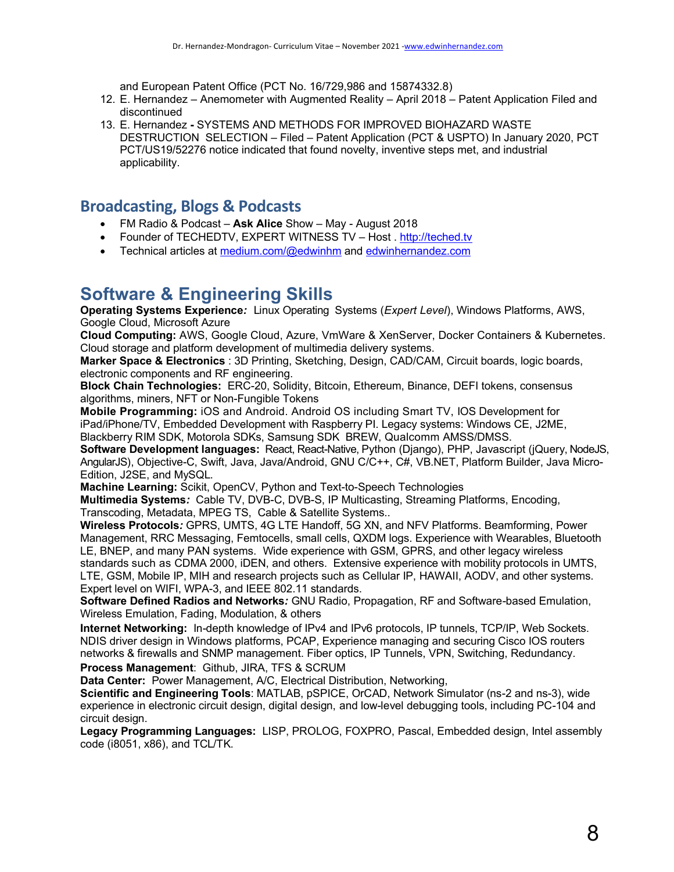and European Patent Office (PCT No. 16/729,986 and 15874332.8)

- 12. E. Hernandez Anemometer with Augmented Reality April 2018 Patent Application Filed and discontinued
- 13. E. Hernandez **-** SYSTEMS AND METHODS FOR IMPROVED BIOHAZARD WASTE DESTRUCTION SELECTION – Filed – Patent Application (PCT & USPTO) In January 2020, PCT PCT/US19/52276 notice indicated that found novelty, inventive steps met, and industrial applicability.

## **Broadcasting, Blogs & Podcasts**

- FM Radio & Podcast **Ask Alice** Show May August 2018
- Founder of TECHEDTV, EXPERT WITNESS TV Host . http://teched.tv
- Technical articles at medium.com/@edwinhm and edwinhernandez.com

# **Software & Engineering Skills**

**Operating Systems Experience***:* Linux Operating Systems (*Expert Level*), Windows Platforms, AWS, Google Cloud, Microsoft Azure

**Cloud Computing:** AWS, Google Cloud, Azure, VmWare & XenServer, Docker Containers & Kubernetes. Cloud storage and platform development of multimedia delivery systems.

**Marker Space & Electronics** : 3D Printing, Sketching, Design, CAD/CAM, Circuit boards, logic boards, electronic components and RF engineering.

**Block Chain Technologies:** ERC-20, Solidity, Bitcoin, Ethereum, Binance, DEFI tokens, consensus algorithms, miners, NFT or Non-Fungible Tokens

**Mobile Programming:** iOS and Android. Android OS including Smart TV, IOS Development for iPad/iPhone/TV, Embedded Development with Raspberry PI. Legacy systems: Windows CE, J2ME, Blackberry RIM SDK, Motorola SDKs, Samsung SDK BREW, Qualcomm AMSS/DMSS.

**Software Development languages:** React, React-Native, Python (Django), PHP, Javascript (jQuery, NodeJS, AngularJS), Objective-C, Swift, Java, Java/Android, GNU C/C++, C#, VB.NET, Platform Builder, Java Micro-Edition, J2SE, and MySQL.

**Machine Learning:** Scikit, OpenCV, Python and Text-to-Speech Technologies

**Multimedia Systems***:* Cable TV, DVB-C, DVB-S, IP Multicasting, Streaming Platforms, Encoding, Transcoding, Metadata, MPEG TS, Cable & Satellite Systems..

**Wireless Protocols***:* GPRS, UMTS, 4G LTE Handoff, 5G XN, and NFV Platforms. Beamforming, Power Management, RRC Messaging, Femtocells, small cells, QXDM logs. Experience with Wearables, Bluetooth LE, BNEP, and many PAN systems. Wide experience with GSM, GPRS, and other legacy wireless standards such as CDMA 2000, iDEN, and others. Extensive experience with mobility protocols in UMTS,

LTE, GSM, Mobile IP, MIH and research projects such as Cellular IP, HAWAII, AODV, and other systems. Expert level on WIFI, WPA-3, and IEEE 802.11 standards.

**Software Defined Radios and Networks***:* GNU Radio, Propagation, RF and Software-based Emulation, Wireless Emulation, Fading, Modulation, & others

**Internet Networking:** In-depth knowledge of IPv4 and IPv6 protocols, IP tunnels, TCP/IP, Web Sockets. NDIS driver design in Windows platforms, PCAP, Experience managing and securing Cisco IOS routers networks & firewalls and SNMP management. Fiber optics, IP Tunnels, VPN, Switching, Redundancy.

**Process Management**: Github, JIRA, TFS & SCRUM

**Data Center:**Power Management, A/C, Electrical Distribution, Networking,

**Scientific and Engineering Tools**: MATLAB, pSPICE, OrCAD, Network Simulator (ns-2 and ns-3), wide experience in electronic circuit design, digital design, and low-level debugging tools, including PC-104 and circuit design.

**Legacy Programming Languages:** LISP, PROLOG, FOXPRO, Pascal, Embedded design, Intel assembly code (i8051, x86), and TCL/TK.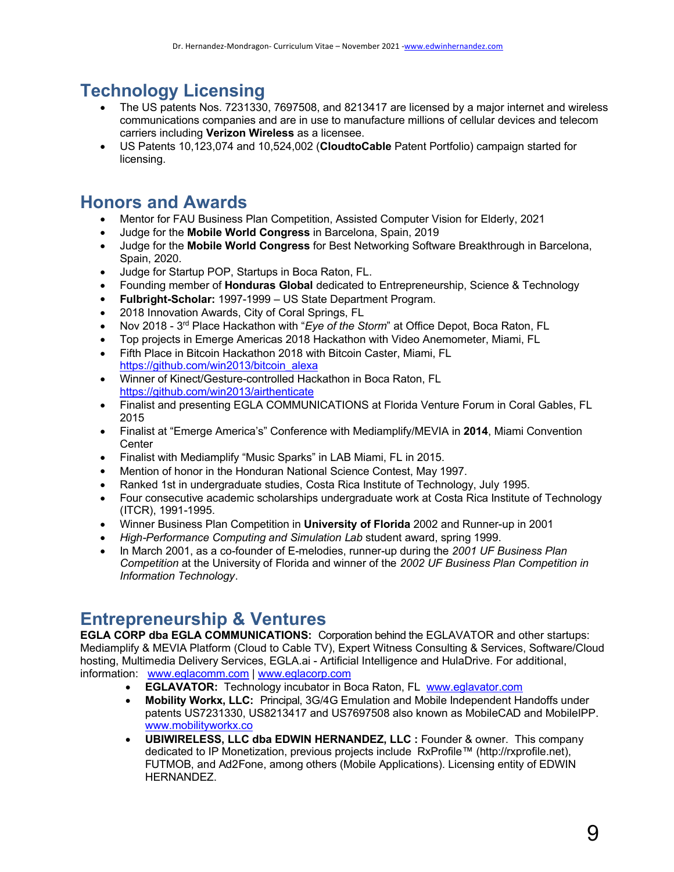# **Technology Licensing**

- The US patents Nos. 7231330, 7697508, and 8213417 are licensed by a major internet and wireless communications companies and are in use to manufacture millions of cellular devices and telecom carriers including **Verizon Wireless** as a licensee.
- US Patents 10,123,074 and 10,524,002 (**CloudtoCable** Patent Portfolio) campaign started for licensing.

# **Honors and Awards**

- Mentor for FAU Business Plan Competition, Assisted Computer Vision for Elderly, 2021
- Judge for the **Mobile World Congress** in Barcelona, Spain, 2019
- Judge for the **Mobile World Congress** for Best Networking Software Breakthrough in Barcelona, Spain, 2020.
- Judge for Startup POP, Startups in Boca Raton, FL.
- Founding member of **Honduras Global** dedicated to Entrepreneurship, Science & Technology
- **Fulbright-Scholar:** 1997-1999 US State Department Program.
- 2018 Innovation Awards, City of Coral Springs, FL
- Nov 2018 3rd Place Hackathon with "*Eye of the Storm*" at Office Depot, Boca Raton, FL
- Top projects in Emerge Americas 2018 Hackathon with Video Anemometer, Miami, FL
- Fifth Place in Bitcoin Hackathon 2018 with Bitcoin Caster, Miami, FL https://github.com/win2013/bitcoin\_alexa
- Winner of Kinect/Gesture-controlled Hackathon in Boca Raton, FL https://github.com/win2013/airthenticate
- Finalist and presenting EGLA COMMUNICATIONS at Florida Venture Forum in Coral Gables, FL 2015
- Finalist at "Emerge America's" Conference with Mediamplify/MEVIA in **2014**, Miami Convention **Center**
- Finalist with Mediamplify "Music Sparks" in LAB Miami, FL in 2015.
- Mention of honor in the Honduran National Science Contest, May 1997.
- Ranked 1st in undergraduate studies, Costa Rica Institute of Technology, July 1995.
- Four consecutive academic scholarships undergraduate work at Costa Rica Institute of Technology (ITCR), 1991-1995.
- Winner Business Plan Competition in **University of Florida** 2002 and Runner-up in 2001
- *High-Performance Computing and Simulation Lab* student award, spring 1999.
- In March 2001, as a co-founder of E-melodies, runner-up during the *2001 UF Business Plan Competition* at the University of Florida and winner of the *2002 UF Business Plan Competition in Information Technology*.

# **Entrepreneurship & Ventures**

**EGLA CORP dba EGLA COMMUNICATIONS:** Corporation behind the EGLAVATOR and other startups: Mediamplify & MEVIA Platform (Cloud to Cable TV), Expert Witness Consulting & Services, Software/Cloud hosting, Multimedia Delivery Services, EGLA.ai - Artificial Intelligence and HulaDrive. For additional, information: www.eglacomm.com | www.eglacorp.com

- **EGLAVATOR:** Technology incubator in Boca Raton, FL www.eglavator.com
- **Mobility Workx, LLC:** Principal, 3G/4G Emulation and Mobile Independent Handoffs under patents US7231330, US8213417 and US7697508 also known as MobileCAD and MobileIPP. www.mobilityworkx.co
- **UBIWIRELESS, LLC dba EDWIN HERNANDEZ, LLC :** Founder & owner. This company dedicated to IP Monetization, previous projects include RxProfile™ (http://rxprofile.net), FUTMOB, and Ad2Fone, among others (Mobile Applications). Licensing entity of EDWIN HERNANDEZ.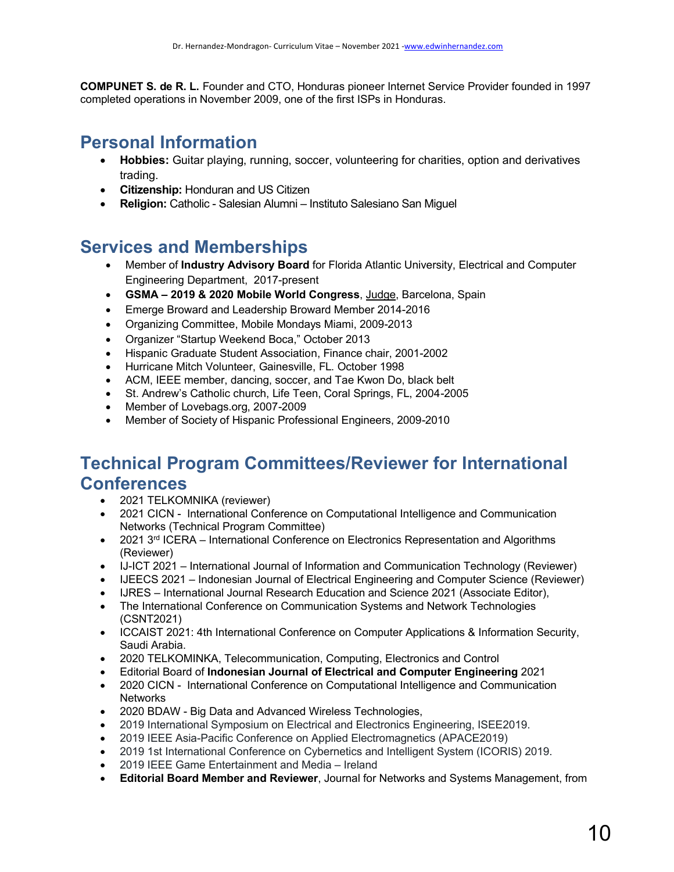**COMPUNET S. de R. L.** Founder and CTO, Honduras pioneer Internet Service Provider founded in 1997 completed operations in November 2009, one of the first ISPs in Honduras.

# **Personal Information**

- **Hobbies:** Guitar playing, running, soccer, volunteering for charities, option and derivatives trading.
- **Citizenship:** Honduran and US Citizen
- **Religion:** Catholic Salesian Alumni Instituto Salesiano San Miguel

# **Services and Memberships**

- Member of **Industry Advisory Board** for Florida Atlantic University, Electrical and Computer Engineering Department, 2017-present
- **GSMA – 2019 & 2020 Mobile World Congress**, Judge, Barcelona, Spain
- Emerge Broward and Leadership Broward Member 2014-2016
- Organizing Committee, Mobile Mondays Miami, 2009-2013
- Organizer "Startup Weekend Boca," October 2013
- Hispanic Graduate Student Association, Finance chair, 2001-2002
- Hurricane Mitch Volunteer, Gainesville, FL. October 1998
- ACM, IEEE member, dancing, soccer, and Tae Kwon Do, black belt
- St. Andrew's Catholic church, Life Teen, Coral Springs, FL, 2004-2005
- Member of Lovebags.org, 2007-2009
- Member of Society of Hispanic Professional Engineers, 2009-2010

# **Technical Program Committees/Reviewer for International Conferences**

- 2021 TELKOMNIKA (reviewer)
- 2021 CICN International Conference on Computational Intelligence and Communication Networks (Technical Program Committee)
- 2021 3<sup>rd</sup> ICERA International Conference on Electronics Representation and Algorithms (Reviewer)
- IJ-ICT 2021 International Journal of Information and Communication Technology (Reviewer)
- IJEECS 2021 Indonesian Journal of Electrical Engineering and Computer Science (Reviewer)
- IJRES International Journal Research Education and Science 2021 (Associate Editor),
- The International Conference on Communication Systems and Network Technologies (CSNT2021)
- ICCAIST 2021: 4th International Conference on Computer Applications & Information Security, Saudi Arabia.
- 2020 TELKOMINKA, Telecommunication, Computing, Electronics and Control
- Editorial Board of **Indonesian Journal of Electrical and Computer Engineering** 2021
- 2020 CICN International Conference on Computational Intelligence and Communication **Networks**
- 2020 BDAW Big Data and Advanced Wireless Technologies,
- 2019 International Symposium on Electrical and Electronics Engineering, ISEE2019.
- 2019 IEEE Asia-Pacific Conference on Applied Electromagnetics (APACE2019)
- 2019 1st International Conference on Cybernetics and Intelligent System (ICORIS) 2019.
- 2019 IEEE Game Entertainment and Media Ireland
- **Editorial Board Member and Reviewer**, Journal for Networks and Systems Management, from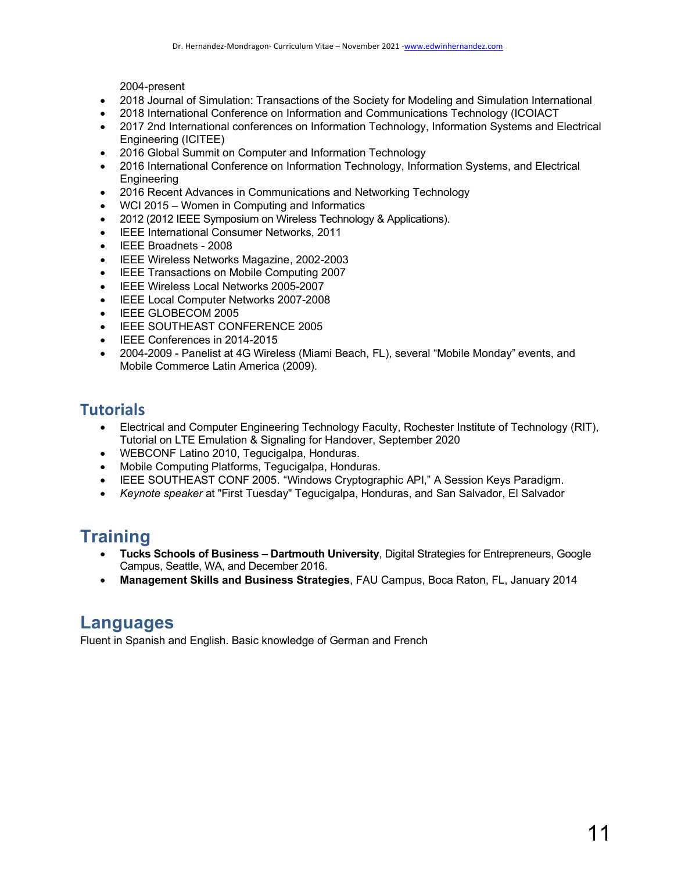2004-present

- 2018 Journal of Simulation: Transactions of the Society for Modeling and Simulation International
- 2018 International Conference on Information and Communications Technology (ICOIACT
- 2017 2nd International conferences on Information Technology, Information Systems and Electrical Engineering (ICITEE)
- 2016 Global Summit on Computer and Information Technology
- 2016 International Conference on Information Technology, Information Systems, and Electrical **Engineering**
- 2016 Recent Advances in Communications and Networking Technology
- WCI 2015 Women in Computing and Informatics
- 2012 (2012 IEEE Symposium on Wireless Technology & Applications).
- IEEE International Consumer Networks, 2011
- IEEE Broadnets 2008
- IEEE Wireless Networks Magazine, 2002-2003
- IEEE Transactions on Mobile Computing 2007
- IEEE Wireless Local Networks 2005-2007
- IEEE Local Computer Networks 2007-2008
- IEEE GLOBECOM 2005
- IEEE SOUTHEAST CONFERENCE 2005
- IEEE Conferences in 2014-2015
- 2004-2009 Panelist at 4G Wireless (Miami Beach, FL), several "Mobile Monday" events, and Mobile Commerce Latin America (2009).

## **Tutorials**

- Electrical and Computer Engineering Technology Faculty, Rochester Institute of Technology (RIT), Tutorial on LTE Emulation & Signaling for Handover, September 2020
- WEBCONF Latino 2010, Tegucigalpa, Honduras.
- Mobile Computing Platforms, Tegucigalpa, Honduras.
- IEEE SOUTHEAST CONF 2005. "Windows Cryptographic API," A Session Keys Paradigm.
- *Keynote speaker* at "First Tuesday" Tegucigalpa, Honduras, and San Salvador, El Salvador

# **Training**

- **Tucks Schools of Business – Dartmouth University**, Digital Strategies for Entrepreneurs, Google Campus, Seattle, WA, and December 2016.
- **Management Skills and Business Strategies**, FAU Campus, Boca Raton, FL, January 2014

# **Languages**

Fluent in Spanish and English. Basic knowledge of German and French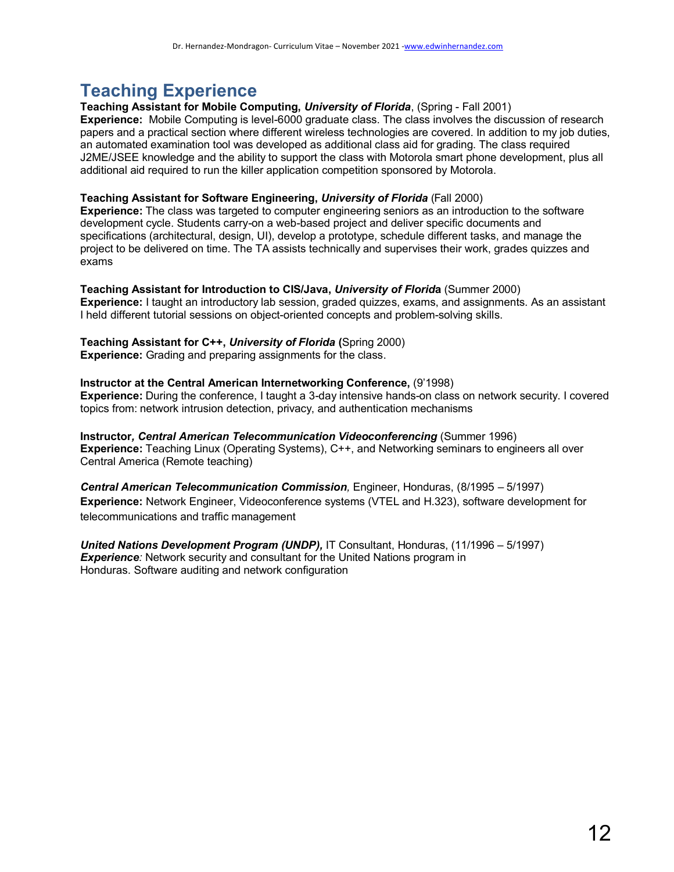# **Teaching Experience**

### **Teaching Assistant for Mobile Computing,** *University of Florida*, (Spring - Fall 2001)

**Experience:** Mobile Computing is level-6000 graduate class. The class involves the discussion of research papers and a practical section where different wireless technologies are covered. In addition to my job duties, an automated examination tool was developed as additional class aid for grading. The class required J2ME/JSEE knowledge and the ability to support the class with Motorola smart phone development, plus all additional aid required to run the killer application competition sponsored by Motorola.

### **Teaching Assistant for Software Engineering,** *University of Florida* (Fall 2000)

**Experience:** The class was targeted to computer engineering seniors as an introduction to the software development cycle. Students carry-on a web-based project and deliver specific documents and specifications (architectural, design, UI), develop a prototype, schedule different tasks, and manage the project to be delivered on time. The TA assists technically and supervises their work, grades quizzes and exams

### **Teaching Assistant for Introduction to CIS/Java,** *University of Florid***a** (Summer 2000)

**Experience:** I taught an introductory lab session, graded quizzes, exams, and assignments. As an assistant I held different tutorial sessions on object-oriented concepts and problem-solving skills.

### **Teaching Assistant for C++,** *University of Florida* **(**Spring 2000)

**Experience:** Grading and preparing assignments for the class.

### **Instructor at the Central American Internetworking Conference,** (9'1998)

**Experience:** During the conference, I taught a 3-day intensive hands-on class on network security. I covered topics from: network intrusion detection, privacy, and authentication mechanisms

**Instructor***, Central American Telecommunication Videoconferencing* (Summer 1996) **Experience:** Teaching Linux (Operating Systems), C++, and Networking seminars to engineers all over Central America (Remote teaching)

*Central American Telecommunication Commission,* Engineer, Honduras, (8/1995 – 5/1997) **Experience:** Network Engineer, Videoconference systems (VTEL and H.323), software development for telecommunications and traffic management

*United Nations Development Program (UNDP),* IT Consultant, Honduras, (11/1996 – 5/1997) **Experience**: Network security and consultant for the United Nations program in Honduras. Software auditing and network configuration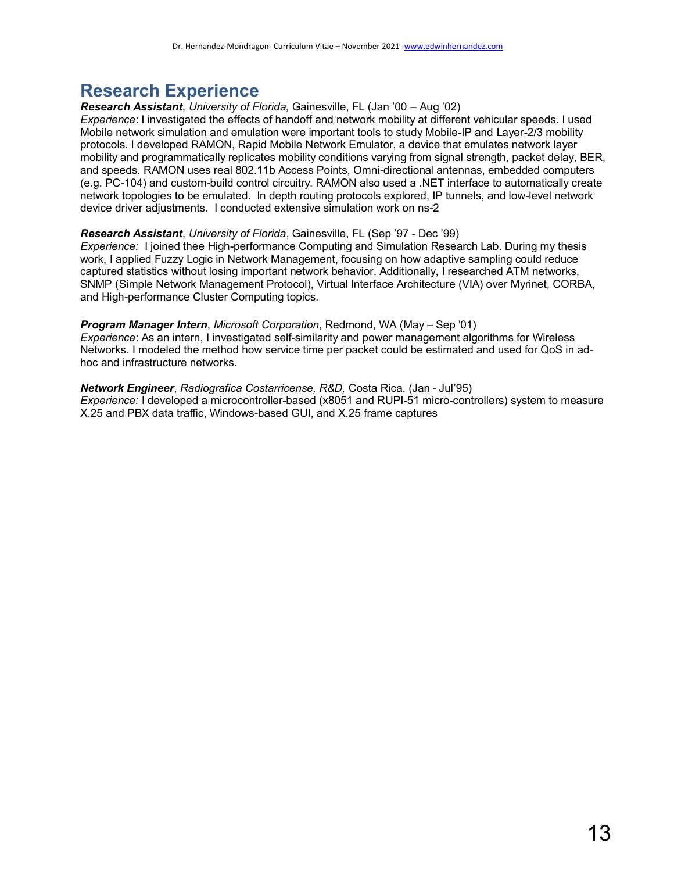# **Research Experience**

*Research Assistant*, *University of Florida,* Gainesville, FL (Jan '00 – Aug '02)

*Experience*: I investigated the effects of handoff and network mobility at different vehicular speeds. I used Mobile network simulation and emulation were important tools to study Mobile-IP and Layer-2/3 mobility protocols. I developed RAMON, Rapid Mobile Network Emulator, a device that emulates network layer mobility and programmatically replicates mobility conditions varying from signal strength, packet delay, BER, and speeds. RAMON uses real 802.11b Access Points, Omni-directional antennas, embedded computers (e.g. PC-104) and custom-build control circuitry. RAMON also used a .NET interface to automatically create network topologies to be emulated. In depth routing protocols explored, IP tunnels, and low-level network device driver adjustments. I conducted extensive simulation work on ns-2

#### *Research Assistant*, *University of Florida*, Gainesville, FL (Sep '97 - Dec '99)

*Experience:* I joined thee High-performance Computing and Simulation Research Lab. During my thesis work, I applied Fuzzy Logic in Network Management, focusing on how adaptive sampling could reduce captured statistics without losing important network behavior. Additionally, I researched ATM networks, SNMP (Simple Network Management Protocol), Virtual Interface Architecture (VIA) over Myrinet, CORBA, and High-performance Cluster Computing topics.

#### *Program Manager Intern*, *Microsoft Corporation*, Redmond, WA (May – Sep '01)

*Experience*: As an intern, I investigated self-similarity and power management algorithms for Wireless Networks. I modeled the method how service time per packet could be estimated and used for QoS in adhoc and infrastructure networks.

*Network Engineer*, *Radiografica Costarricense, R&D,* Costa Rica. (Jan - Jul'95) *Experience:* I developed a microcontroller-based (x8051 and RUPI-51 micro-controllers) system to measure X.25 and PBX data traffic, Windows-based GUI, and X.25 frame captures